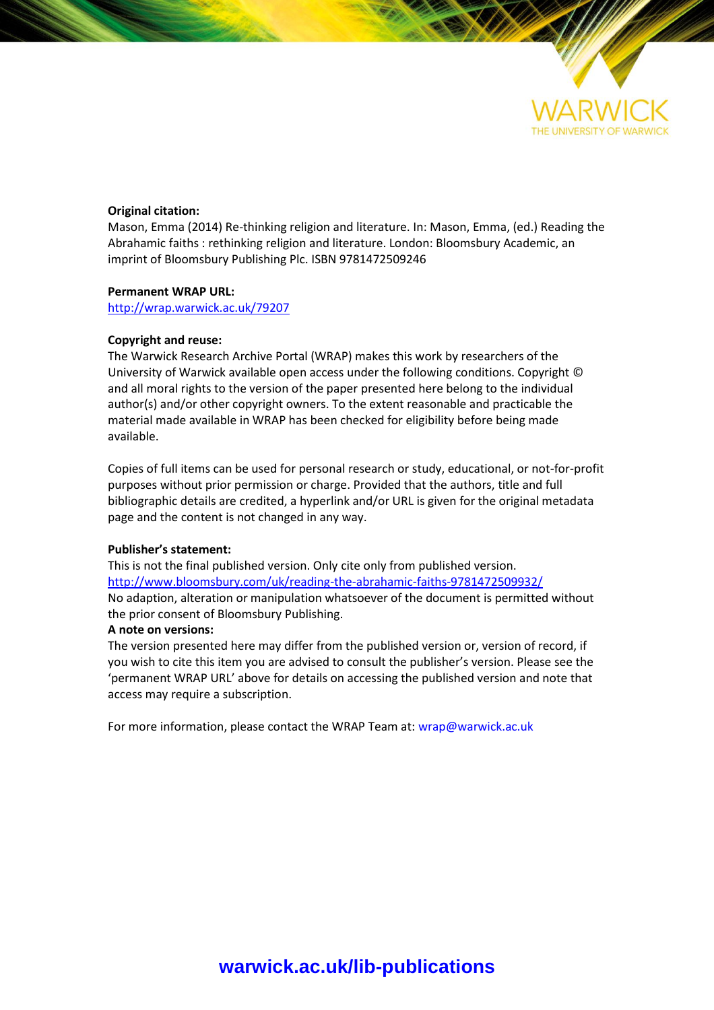

### **Original citation:**

Mason, Emma (2014) Re-thinking religion and literature. In: Mason, Emma, (ed.) Reading the Abrahamic faiths : rethinking religion and literature. London: Bloomsbury Academic, an imprint of Bloomsbury Publishing Plc. ISBN 9781472509246

### **Permanent WRAP URL:**

<http://wrap.warwick.ac.uk/79207>

### **Copyright and reuse:**

The Warwick Research Archive Portal (WRAP) makes this work by researchers of the University of Warwick available open access under the following conditions. Copyright © and all moral rights to the version of the paper presented here belong to the individual author(s) and/or other copyright owners. To the extent reasonable and practicable the material made available in WRAP has been checked for eligibility before being made available.

Copies of full items can be used for personal research or study, educational, or not-for-profit purposes without prior permission or charge. Provided that the authors, title and full bibliographic details are credited, a hyperlink and/or URL is given for the original metadata page and the content is not changed in any way.

### **Publisher's statement:**

This is not the final published version. Only cite only from published version. <http://www.bloomsbury.com/uk/reading-the-abrahamic-faiths-9781472509932/> No adaption, alteration or manipulation whatsoever of the document is permitted without the prior consent of Bloomsbury Publishing.

### **A note on versions:**

The version presented here may differ from the published version or, version of record, if you wish to cite this item you are advised to consult the publisher's version. Please see the 'permanent WRAP URL' above for details on accessing the published version and note that access may require a subscription.

For more information, please contact the WRAP Team at[: wrap@warwick.ac.uk](mailto:wrap@warwick.ac.uk)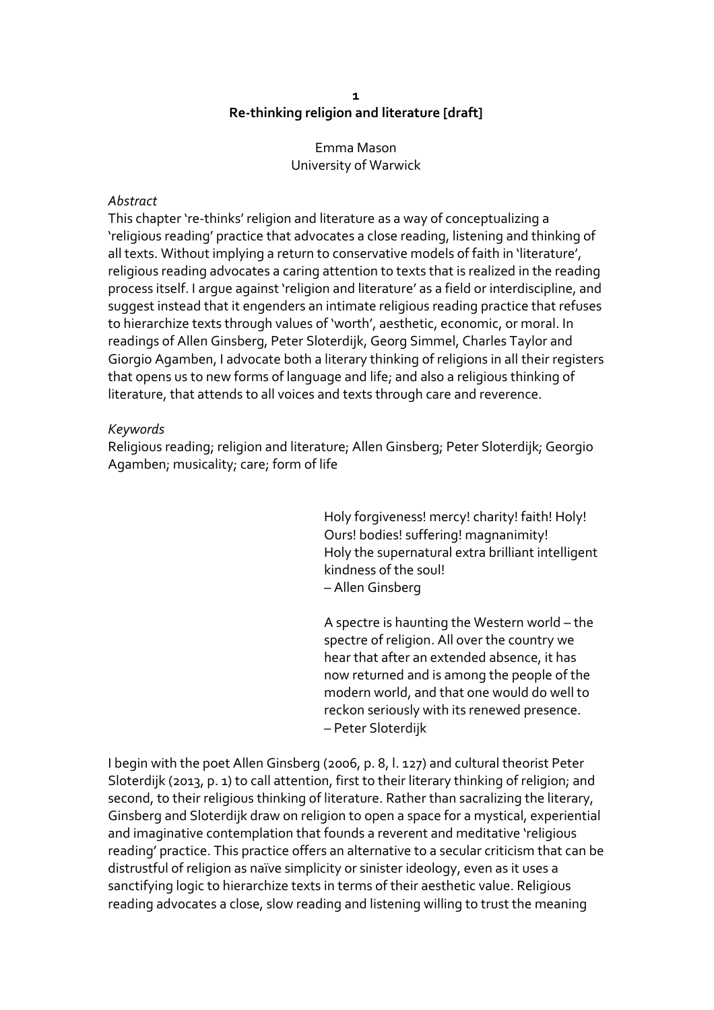### **1 Re-thinking religion and literature [draft]**

Emma Mason University of Warwick

## *Abstract*

This chapter 're-thinks' religion and literature as a way of conceptualizing a 'religious reading' practice that advocates a close reading, listening and thinking of all texts. Without implying a return to conservative models of faith in 'literature', religious reading advocates a caring attention to texts that is realized in the reading process itself. I argue against 'religion and literature' as a field or interdiscipline, and suggest instead that it engenders an intimate religious reading practice that refuses to hierarchize texts through values of 'worth', aesthetic, economic, or moral. In readings of Allen Ginsberg, Peter Sloterdijk, Georg Simmel, Charles Taylor and Giorgio Agamben, I advocate both a literary thinking of religions in all their registers that opens us to new forms of language and life; and also a religious thinking of literature, that attends to all voices and texts through care and reverence.

## *Keywords*

Religious reading; religion and literature; Allen Ginsberg; Peter Sloterdijk; Georgio Agamben; musicality; care; form of life

> Holy forgiveness! mercy! charity! faith! Holy! Ours! bodies! suffering! magnanimity! Holy the supernatural extra brilliant intelligent kindness of the soul! – Allen Ginsberg

A spectre is haunting the Western world – the spectre of religion. All over the country we hear that after an extended absence, it has now returned and is among the people of the modern world, and that one would do well to reckon seriously with its renewed presence. – Peter Sloterdijk

I begin with the poet Allen Ginsberg (2006, p. 8, l. 127) and cultural theorist Peter Sloterdijk (2013, p. 1) to call attention, first to their literary thinking of religion; and second, to their religious thinking of literature. Rather than sacralizing the literary, Ginsberg and Sloterdijk draw on religion to open a space for a mystical, experiential and imaginative contemplation that founds a reverent and meditative 'religious reading' practice. This practice offers an alternative to a secular criticism that can be distrustful of religion as naïve simplicity or sinister ideology, even as it uses a sanctifying logic to hierarchize texts in terms of their aesthetic value. Religious reading advocates a close, slow reading and listening willing to trust the meaning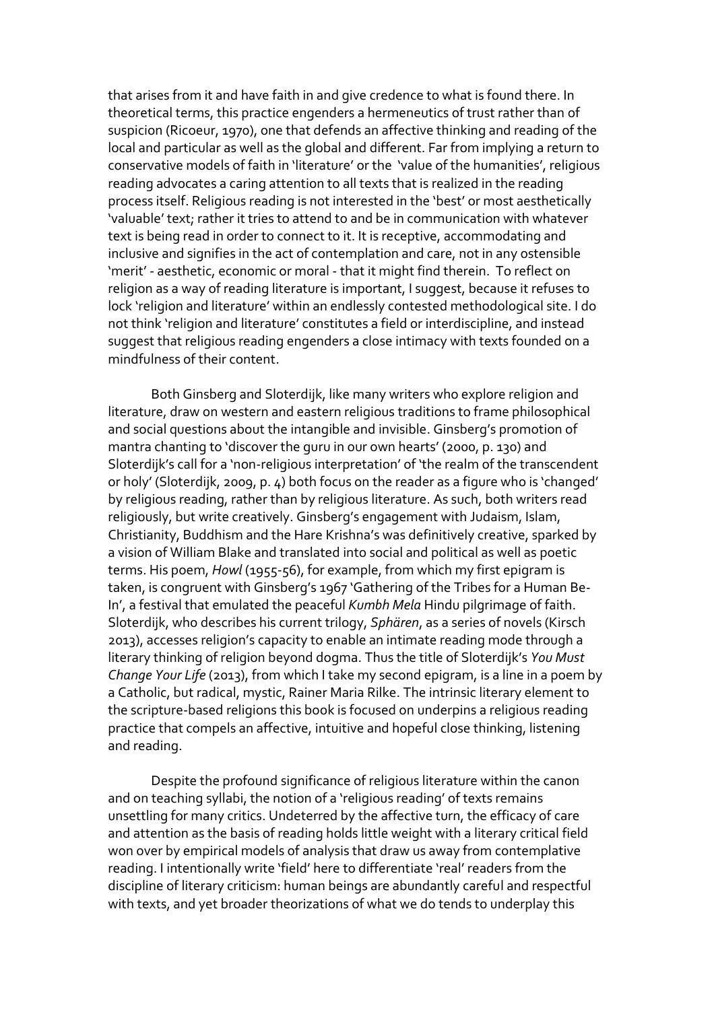that arises from it and have faith in and give credence to what is found there. In theoretical terms, this practice engenders a hermeneutics of trust rather than of suspicion (Ricoeur, 1970), one that defends an affective thinking and reading of the local and particular as well as the global and different. Far from implying a return to conservative models of faith in 'literature' or the 'value of the humanities', religious reading advocates a caring attention to all texts that is realized in the reading process itself. Religious reading is not interested in the 'best' or most aesthetically 'valuable' text; rather it tries to attend to and be in communication with whatever text is being read in order to connect to it. It is receptive, accommodating and inclusive and signifies in the act of contemplation and care, not in any ostensible 'merit' - aesthetic, economic or moral - that it might find therein. To reflect on religion as a way of reading literature is important, I suggest, because it refuses to lock 'religion and literature' within an endlessly contested methodological site. I do not think 'religion and literature' constitutes a field or interdiscipline, and instead suggest that religious reading engenders a close intimacy with texts founded on a mindfulness of their content.

Both Ginsberg and Sloterdijk, like many writers who explore religion and literature, draw on western and eastern religious traditions to frame philosophical and social questions about the intangible and invisible. Ginsberg's promotion of mantra chanting to 'discover the guru in our own hearts' (2000, p. 130) and Sloterdijk's call for a 'non-religious interpretation' of 'the realm of the transcendent or holy' (Sloterdijk, 2009, p. 4) both focus on the reader as a figure who is 'changed' by religious reading, rather than by religious literature. As such, both writers read religiously, but write creatively. Ginsberg's engagement with Judaism, Islam, Christianity, Buddhism and the Hare Krishna's was definitively creative, sparked by a vision of William Blake and translated into social and political as well as poetic terms. His poem, *Howl* (1955-56), for example, from which my first epigram is taken, is congruent with Ginsberg's 1967 'Gathering of the Tribes for a Human Be-In', a festival that emulated the peaceful *Kumbh Mela* Hindu pilgrimage of faith. Sloterdijk, who describes his current trilogy, *Sphären*, as a series of novels (Kirsch 2013), accesses religion's capacity to enable an intimate reading mode through a literary thinking of religion beyond dogma. Thus the title of Sloterdijk's *You Must Change Your Life* (2013), from which I take my second epigram, is a line in a poem by a Catholic, but radical, mystic, Rainer Maria Rilke. The intrinsic literary element to the scripture-based religions this book is focused on underpins a religious reading practice that compels an affective, intuitive and hopeful close thinking, listening and reading.

Despite the profound significance of religious literature within the canon and on teaching syllabi, the notion of a 'religious reading' of texts remains unsettling for many critics. Undeterred by the affective turn, the efficacy of care and attention as the basis of reading holds little weight with a literary critical field won over by empirical models of analysis that draw us away from contemplative reading. I intentionally write 'field' here to differentiate 'real' readers from the discipline of literary criticism: human beings are abundantly careful and respectful with texts, and yet broader theorizations of what we do tends to underplay this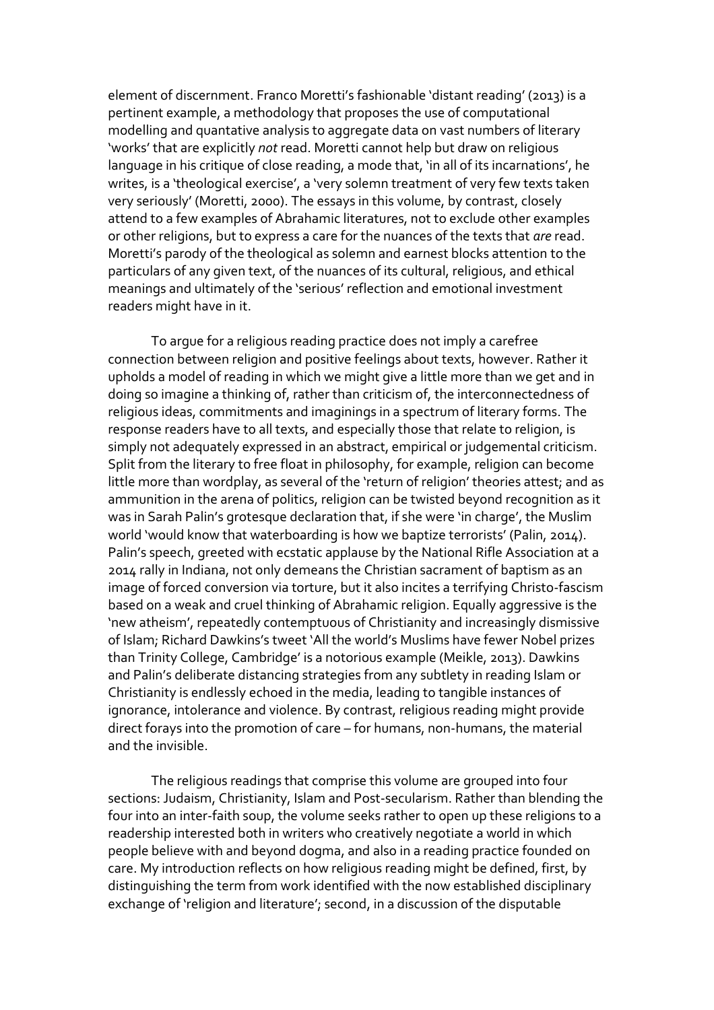element of discernment. Franco Moretti's fashionable 'distant reading' (2013) is a pertinent example, a methodology that proposes the use of computational modelling and quantative analysis to aggregate data on vast numbers of literary 'works' that are explicitly *not* read. Moretti cannot help but draw on religious language in his critique of close reading, a mode that, 'in all of its incarnations', he writes, is a 'theological exercise', a 'very solemn treatment of very few texts taken very seriously' (Moretti, 2000). The essays in this volume, by contrast, closely attend to a few examples of Abrahamic literatures, not to exclude other examples or other religions, but to express a care for the nuances of the texts that *are* read. Moretti's parody of the theological as solemn and earnest blocks attention to the particulars of any given text, of the nuances of its cultural, religious, and ethical meanings and ultimately of the 'serious' reflection and emotional investment readers might have in it.

To argue for a religious reading practice does not imply a carefree connection between religion and positive feelings about texts, however. Rather it upholds a model of reading in which we might give a little more than we get and in doing so imagine a thinking of, rather than criticism of, the interconnectedness of religious ideas, commitments and imaginings in a spectrum of literary forms. The response readers have to all texts, and especially those that relate to religion, is simply not adequately expressed in an abstract, empirical or judgemental criticism. Split from the literary to free float in philosophy, for example, religion can become little more than wordplay, as several of the 'return of religion' theories attest; and as ammunition in the arena of politics, religion can be twisted beyond recognition as it was in Sarah Palin's grotesque declaration that, if she were 'in charge', the Muslim world 'would know that waterboarding is how we baptize terrorists' (Palin, 2014). Palin's speech, greeted with ecstatic applause by the National Rifle Association at a 2014 rally in Indiana, not only demeans the Christian sacrament of baptism as an image of forced conversion via torture, but it also incites a terrifying Christo-fascism based on a weak and cruel thinking of Abrahamic religion. Equally aggressive is the 'new atheism', repeatedly contemptuous of Christianity and increasingly dismissive of Islam; Richard Dawkins's tweet 'All the world's Muslims have fewer Nobel prizes than Trinity College, Cambridge' is a notorious example (Meikle, 2013). Dawkins and Palin's deliberate distancing strategies from any subtlety in reading Islam or Christianity is endlessly echoed in the media, leading to tangible instances of ignorance, intolerance and violence. By contrast, religious reading might provide direct forays into the promotion of care – for humans, non-humans, the material and the invisible.

The religious readings that comprise this volume are grouped into four sections: Judaism, Christianity, Islam and Post-secularism. Rather than blending the four into an inter-faith soup, the volume seeks rather to open up these religions to a readership interested both in writers who creatively negotiate a world in which people believe with and beyond dogma, and also in a reading practice founded on care. My introduction reflects on how religious reading might be defined, first, by distinguishing the term from work identified with the now established disciplinary exchange of 'religion and literature'; second, in a discussion of the disputable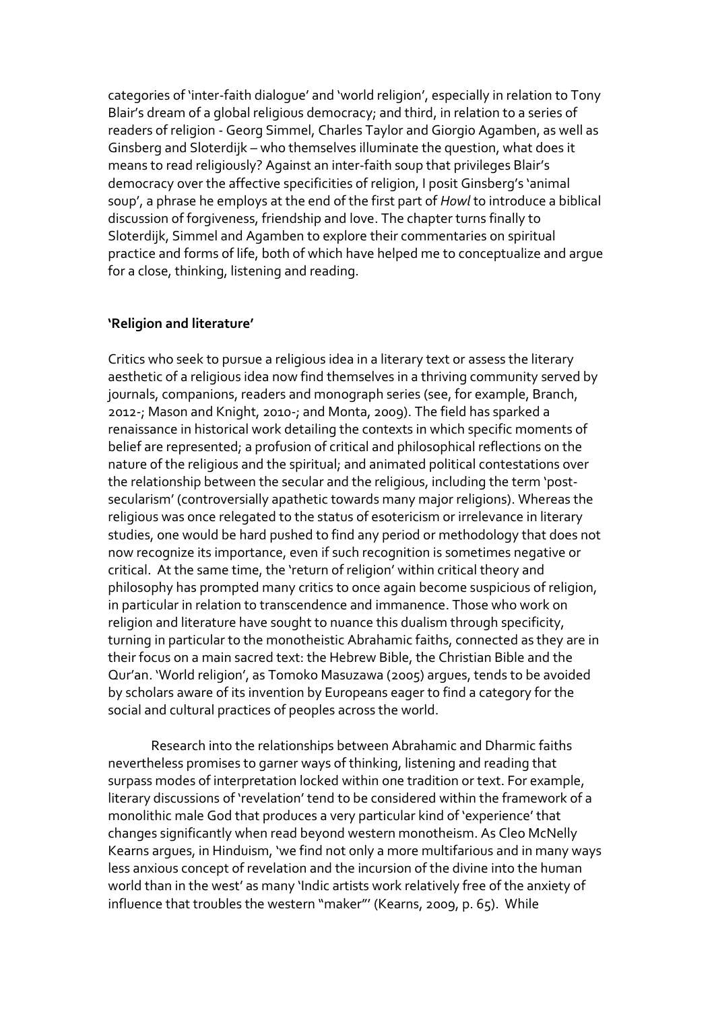categories of 'inter-faith dialogue' and 'world religion', especially in relation to Tony Blair's dream of a global religious democracy; and third, in relation to a series of readers of religion - Georg Simmel, Charles Taylor and Giorgio Agamben, as well as Ginsberg and Sloterdijk – who themselves illuminate the question, what does it means to read religiously? Against an inter-faith soup that privileges Blair's democracy over the affective specificities of religion, I posit Ginsberg's 'animal soup', a phrase he employs at the end of the first part of *Howl* to introduce a biblical discussion of forgiveness, friendship and love. The chapter turns finally to Sloterdijk, Simmel and Agamben to explore their commentaries on spiritual practice and forms of life, both of which have helped me to conceptualize and argue for a close, thinking, listening and reading.

## **'Religion and literature'**

Critics who seek to pursue a religious idea in a literary text or assess the literary aesthetic of a religious idea now find themselves in a thriving community served by journals, companions, readers and monograph series (see, for example, Branch, 2012-; Mason and Knight, 2010-; and Monta, 2009). The field has sparked a renaissance in historical work detailing the contexts in which specific moments of belief are represented; a profusion of critical and philosophical reflections on the nature of the religious and the spiritual; and animated political contestations over the relationship between the secular and the religious, including the term 'postsecularism' (controversially apathetic towards many major religions). Whereas the religious was once relegated to the status of esotericism or irrelevance in literary studies, one would be hard pushed to find any period or methodology that does not now recognize its importance, even if such recognition is sometimes negative or critical. At the same time, the 'return of religion' within critical theory and philosophy has prompted many critics to once again become suspicious of religion, in particular in relation to transcendence and immanence. Those who work on religion and literature have sought to nuance this dualism through specificity, turning in particular to the monotheistic Abrahamic faiths, connected as they are in their focus on a main sacred text: the Hebrew Bible, the Christian Bible and the Qur'an. 'World religion', as Tomoko Masuzawa (2005) argues, tends to be avoided by scholars aware of its invention by Europeans eager to find a category for the social and cultural practices of peoples across the world.

Research into the relationships between Abrahamic and Dharmic faiths nevertheless promises to garner ways of thinking, listening and reading that surpass modes of interpretation locked within one tradition or text. For example, literary discussions of 'revelation' tend to be considered within the framework of a monolithic male God that produces a very particular kind of 'experience' that changes significantly when read beyond western monotheism. As Cleo McNelly Kearns argues, in Hinduism, 'we find not only a more multifarious and in many ways less anxious concept of revelation and the incursion of the divine into the human world than in the west' as many 'Indic artists work relatively free of the anxiety of influence that troubles the western "maker"' (Kearns, 2009, p. 65). While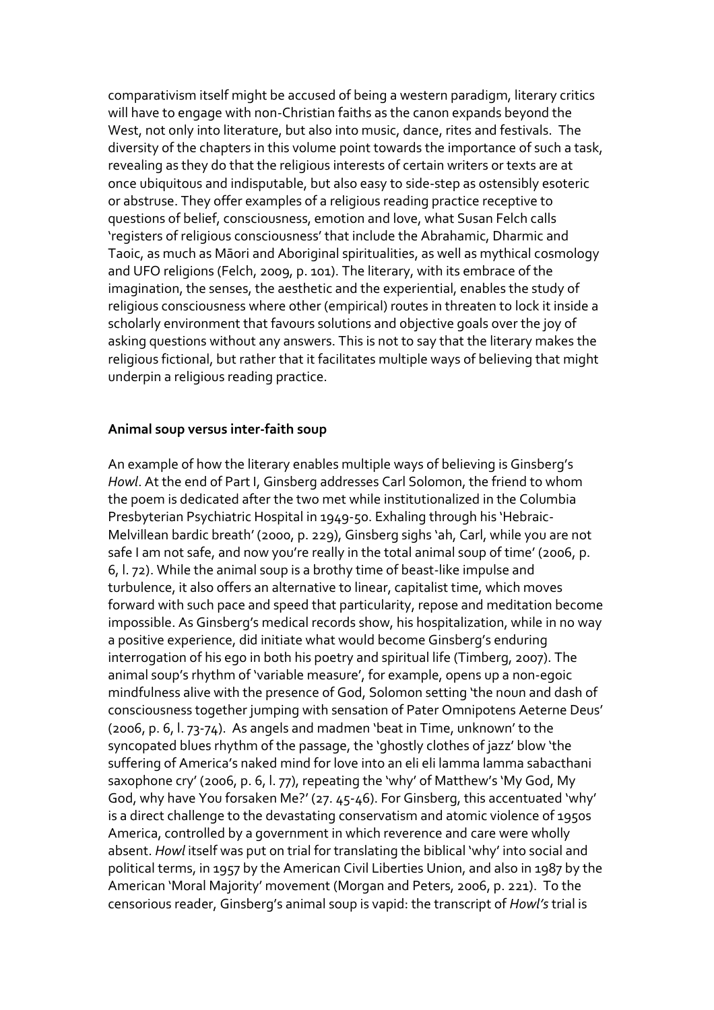comparativism itself might be accused of being a western paradigm, literary critics will have to engage with non-Christian faiths as the canon expands beyond the West, not only into literature, but also into music, dance, rites and festivals. The diversity of the chapters in this volume point towards the importance of such a task, revealing as they do that the religious interests of certain writers or texts are at once ubiquitous and indisputable, but also easy to side-step as ostensibly esoteric or abstruse. They offer examples of a religious reading practice receptive to questions of belief, consciousness, emotion and love, what Susan Felch calls 'registers of religious consciousness' that include the Abrahamic, Dharmic and Taoic, as much as Māori and Aboriginal spiritualities, as well as mythical cosmology and UFO religions (Felch, 2009, p. 101). The literary, with its embrace of the imagination, the senses, the aesthetic and the experiential, enables the study of religious consciousness where other (empirical) routes in threaten to lock it inside a scholarly environment that favours solutions and objective goals over the joy of asking questions without any answers. This is not to say that the literary makes the religious fictional, but rather that it facilitates multiple ways of believing that might underpin a religious reading practice.

## **Animal soup versus inter-faith soup**

An example of how the literary enables multiple ways of believing is Ginsberg's *Howl*. At the end of Part I, Ginsberg addresses Carl Solomon, the friend to whom the poem is dedicated after the two met while institutionalized in the Columbia Presbyterian Psychiatric Hospital in 1949-50. Exhaling through his 'Hebraic-Melvillean bardic breath' (2000, p. 229), Ginsberg sighs 'ah, Carl, while you are not safe I am not safe, and now you're really in the total animal soup of time' (2006, p. 6, l. 72). While the animal soup is a brothy time of beast-like impulse and turbulence, it also offers an alternative to linear, capitalist time, which moves forward with such pace and speed that particularity, repose and meditation become impossible. As Ginsberg's medical records show, his hospitalization, while in no way a positive experience, did initiate what would become Ginsberg's enduring interrogation of his ego in both his poetry and spiritual life (Timberg, 2007). The animal soup's rhythm of 'variable measure', for example, opens up a non-egoic mindfulness alive with the presence of God, Solomon setting 'the noun and dash of consciousness together jumping with sensation of Pater Omnipotens Aeterne Deus' (2006, p. 6, l. 73-74). As angels and madmen 'beat in Time, unknown' to the syncopated blues rhythm of the passage, the 'ghostly clothes of jazz' blow 'the suffering of America's naked mind for love into an eli eli lamma lamma sabacthani saxophone cry' (2006, p. 6, l. 77), repeating the 'why' of Matthew's 'My God, My God, why have You forsaken Me?' (27. 45-46). For Ginsberg, this accentuated 'why' is a direct challenge to the devastating conservatism and atomic violence of 1950s America, controlled by a government in which reverence and care were wholly absent. *Howl* itself was put on trial for translating the biblical 'why' into social and political terms, in 1957 by the American Civil Liberties Union, and also in 1987 by the American 'Moral Majority' movement (Morgan and Peters, 2006, p. 221). To the censorious reader, Ginsberg's animal soup is vapid: the transcript of *Howl's* trial is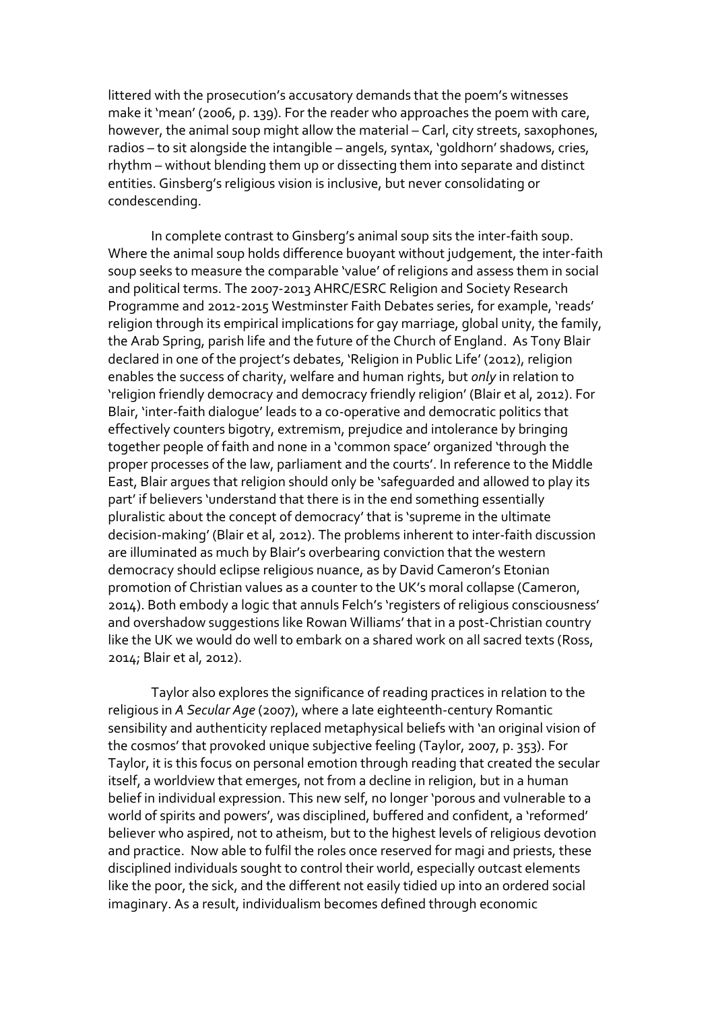littered with the prosecution's accusatory demands that the poem's witnesses make it 'mean' (2006, p. 139). For the reader who approaches the poem with care, however, the animal soup might allow the material – Carl, city streets, saxophones, radios – to sit alongside the intangible – angels, syntax, 'goldhorn' shadows, cries, rhythm – without blending them up or dissecting them into separate and distinct entities. Ginsberg's religious vision is inclusive, but never consolidating or condescending.

In complete contrast to Ginsberg's animal soup sits the inter-faith soup. Where the animal soup holds difference buoyant without judgement, the inter-faith soup seeks to measure the comparable 'value' of religions and assess them in social and political terms. The 2007-2013 AHRC/ESRC Religion and Society Research Programme and 2012-2015 Westminster Faith Debates series, for example, 'reads' religion through its empirical implications for gay marriage, global unity, the family, the Arab Spring, parish life and the future of the Church of England. As Tony Blair declared in one of the project's debates, 'Religion in Public Life' (2012), religion enables the success of charity, welfare and human rights, but *only* in relation to 'religion friendly democracy and democracy friendly religion' (Blair et al, 2012). For Blair, 'inter-faith dialogue' leads to a co-operative and democratic politics that effectively counters bigotry, extremism, prejudice and intolerance by bringing together people of faith and none in a 'common space' organized 'through the proper processes of the law, parliament and the courts'. In reference to the Middle East, Blair argues that religion should only be 'safeguarded and allowed to play its part' if believers 'understand that there is in the end something essentially pluralistic about the concept of democracy' that is 'supreme in the ultimate decision-making' (Blair et al, 2012). The problems inherent to inter-faith discussion are illuminated as much by Blair's overbearing conviction that the western democracy should eclipse religious nuance, as by David Cameron's Etonian promotion of Christian values as a counter to the UK's moral collapse (Cameron, 2014). Both embody a logic that annuls Felch's 'registers of religious consciousness' and overshadow suggestions like Rowan Williams' that in a post-Christian country like the UK we would do well to embark on a shared work on all sacred texts (Ross, 2014; Blair et al, 2012).

Taylor also explores the significance of reading practices in relation to the religious in *A Secular Age* (2007), where a late eighteenth-century Romantic sensibility and authenticity replaced metaphysical beliefs with 'an original vision of the cosmos' that provoked unique subjective feeling (Taylor, 2007, p. 353). For Taylor, it is this focus on personal emotion through reading that created the secular itself, a worldview that emerges, not from a decline in religion, but in a human belief in individual expression. This new self, no longer 'porous and vulnerable to a world of spirits and powers', was disciplined, buffered and confident, a 'reformed' believer who aspired, not to atheism, but to the highest levels of religious devotion and practice. Now able to fulfil the roles once reserved for magi and priests, these disciplined individuals sought to control their world, especially outcast elements like the poor, the sick, and the different not easily tidied up into an ordered social imaginary. As a result, individualism becomes defined through economic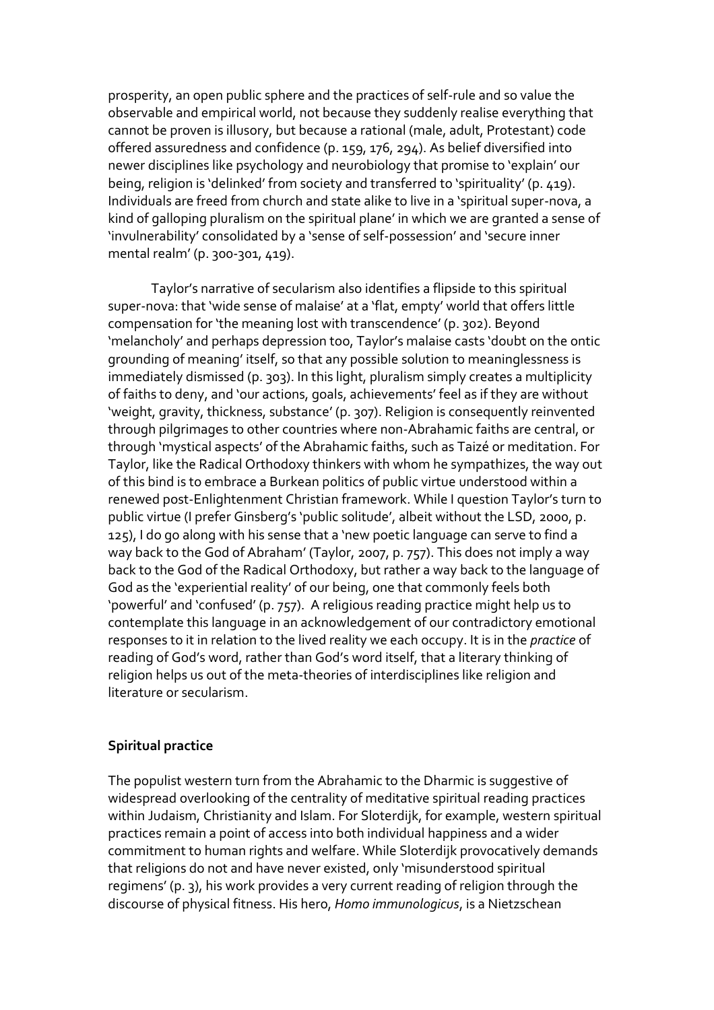prosperity, an open public sphere and the practices of self-rule and so value the observable and empirical world, not because they suddenly realise everything that cannot be proven is illusory, but because a rational (male, adult, Protestant) code offered assuredness and confidence (p. 159, 176, 294). As belief diversified into newer disciplines like psychology and neurobiology that promise to 'explain' our being, religion is 'delinked' from society and transferred to 'spirituality' (p. 419). Individuals are freed from church and state alike to live in a 'spiritual super-nova, a kind of galloping pluralism on the spiritual plane' in which we are granted a sense of 'invulnerability' consolidated by a 'sense of self-possession' and 'secure inner mental realm' (p. 300-301, 419).

Taylor's narrative of secularism also identifies a flipside to this spiritual super-nova: that 'wide sense of malaise' at a 'flat, empty' world that offers little compensation for 'the meaning lost with transcendence' (p. 302). Beyond 'melancholy' and perhaps depression too, Taylor's malaise casts 'doubt on the ontic grounding of meaning' itself, so that any possible solution to meaninglessness is immediately dismissed (p. 303). In this light, pluralism simply creates a multiplicity of faiths to deny, and 'our actions, goals, achievements' feel as if they are without 'weight, gravity, thickness, substance' (p. 307). Religion is consequently reinvented through pilgrimages to other countries where non-Abrahamic faiths are central, or through 'mystical aspects' of the Abrahamic faiths, such as Taizé or meditation. For Taylor, like the Radical Orthodoxy thinkers with whom he sympathizes, the way out of this bind is to embrace a Burkean politics of public virtue understood within a renewed post-Enlightenment Christian framework. While I question Taylor's turn to public virtue (I prefer Ginsberg's 'public solitude', albeit without the LSD, 2000, p. 125), I do go along with his sense that a 'new poetic language can serve to find a way back to the God of Abraham' (Taylor, 2007, p. 757). This does not imply a way back to the God of the Radical Orthodoxy, but rather a way back to the language of God as the 'experiential reality' of our being, one that commonly feels both 'powerful' and 'confused' (p. 757). A religious reading practice might help us to contemplate this language in an acknowledgement of our contradictory emotional responses to it in relation to the lived reality we each occupy. It is in the *practice* of reading of God's word, rather than God's word itself, that a literary thinking of religion helps us out of the meta-theories of interdisciplines like religion and literature or secularism.

# **Spiritual practice**

The populist western turn from the Abrahamic to the Dharmic is suggestive of widespread overlooking of the centrality of meditative spiritual reading practices within Judaism, Christianity and Islam. For Sloterdijk, for example, western spiritual practices remain a point of access into both individual happiness and a wider commitment to human rights and welfare. While Sloterdijk provocatively demands that religions do not and have never existed, only 'misunderstood spiritual regimens' (p. 3), his work provides a very current reading of religion through the discourse of physical fitness. His hero, *Homo immunologicus*, is a Nietzschean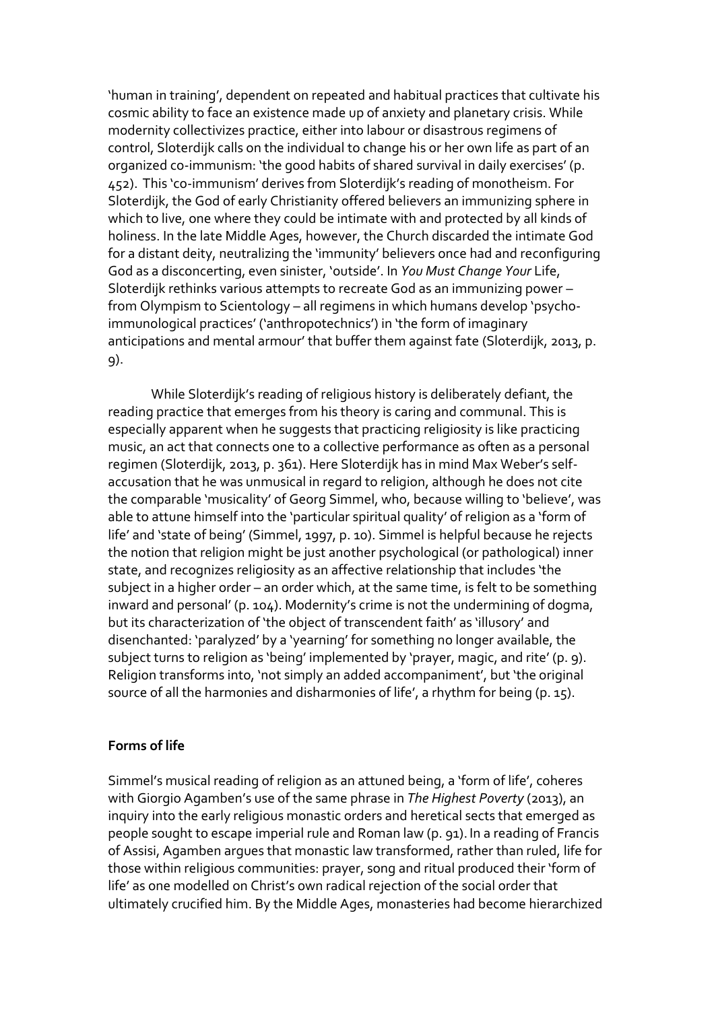'human in training', dependent on repeated and habitual practices that cultivate his cosmic ability to face an existence made up of anxiety and planetary crisis. While modernity collectivizes practice, either into labour or disastrous regimens of control, Sloterdijk calls on the individual to change his or her own life as part of an organized co-immunism: 'the good habits of shared survival in daily exercises' (p. 452). This 'co-immunism' derives from Sloterdijk's reading of monotheism. For Sloterdijk, the God of early Christianity offered believers an immunizing sphere in which to live, one where they could be intimate with and protected by all kinds of holiness. In the late Middle Ages, however, the Church discarded the intimate God for a distant deity, neutralizing the 'immunity' believers once had and reconfiguring God as a disconcerting, even sinister, 'outside'. In *You Must Change Your* Life, Sloterdijk rethinks various attempts to recreate God as an immunizing power – from Olympism to Scientology – all regimens in which humans develop 'psychoimmunological practices' ('anthropotechnics') in 'the form of imaginary anticipations and mental armour' that buffer them against fate (Sloterdijk, 2013, p. 9).

While Sloterdijk's reading of religious history is deliberately defiant, the reading practice that emerges from his theory is caring and communal. This is especially apparent when he suggests that practicing religiosity is like practicing music, an act that connects one to a collective performance as often as a personal regimen (Sloterdijk, 2013, p. 361). Here Sloterdijk has in mind Max Weber's selfaccusation that he was unmusical in regard to religion, although he does not cite the comparable 'musicality' of Georg Simmel, who, because willing to 'believe', was able to attune himself into the 'particular spiritual quality' of religion as a 'form of life' and 'state of being' (Simmel, 1997, p. 10). Simmel is helpful because he rejects the notion that religion might be just another psychological (or pathological) inner state, and recognizes religiosity as an affective relationship that includes 'the subject in a higher order – an order which, at the same time, is felt to be something inward and personal' (p. 104). Modernity's crime is not the undermining of dogma, but its characterization of 'the object of transcendent faith' as 'illusory' and disenchanted: 'paralyzed' by a 'yearning' for something no longer available, the subject turns to religion as 'being' implemented by 'prayer, magic, and rite' (p. 9). Religion transforms into, 'not simply an added accompaniment', but 'the original source of all the harmonies and disharmonies of life', a rhythm for being (p. 15).

### **Forms of life**

Simmel's musical reading of religion as an attuned being, a 'form of life', coheres with Giorgio Agamben's use of the same phrase in *The Highest Poverty* (2013), an inquiry into the early religious monastic orders and heretical sects that emerged as people sought to escape imperial rule and Roman law (p. 91). In a reading of Francis of Assisi, Agamben argues that monastic law transformed, rather than ruled, life for those within religious communities: prayer, song and ritual produced their 'form of life' as one modelled on Christ's own radical rejection of the social order that ultimately crucified him. By the Middle Ages, monasteries had become hierarchized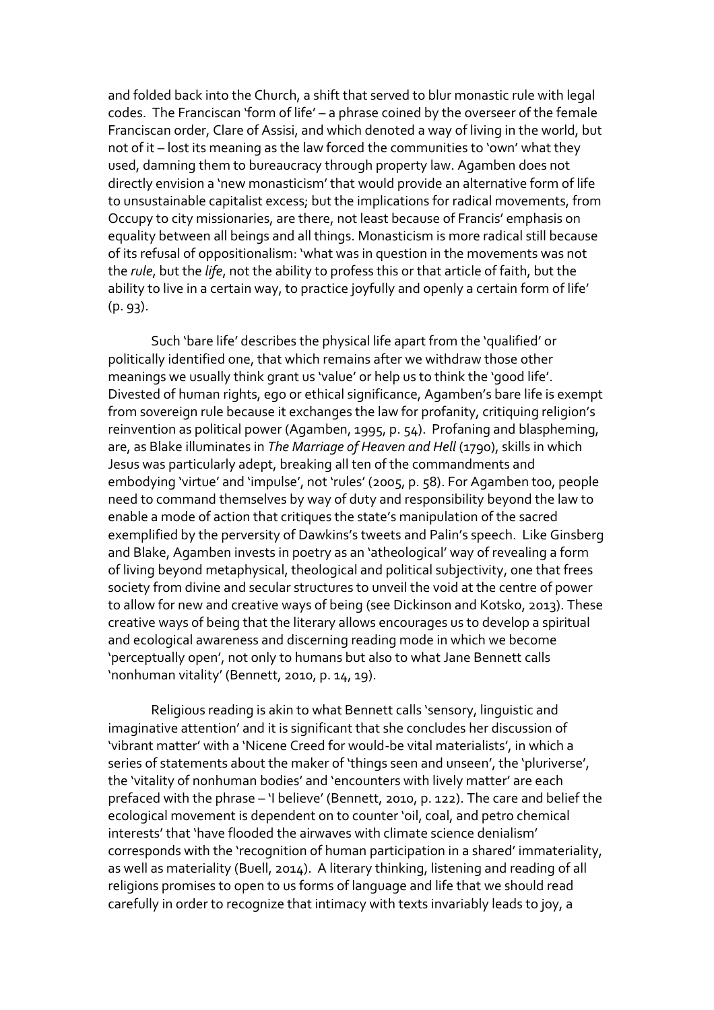and folded back into the Church, a shift that served to blur monastic rule with legal codes. The Franciscan 'form of life' – a phrase coined by the overseer of the female Franciscan order, Clare of Assisi, and which denoted a way of living in the world, but not of it – lost its meaning as the law forced the communities to 'own' what they used, damning them to bureaucracy through property law. Agamben does not directly envision a 'new monasticism' that would provide an alternative form of life to unsustainable capitalist excess; but the implications for radical movements, from Occupy to city missionaries, are there, not least because of Francis' emphasis on equality between all beings and all things. Monasticism is more radical still because of its refusal of oppositionalism: 'what was in question in the movements was not the *rule*, but the *life*, not the ability to profess this or that article of faith, but the ability to live in a certain way, to practice joyfully and openly a certain form of life' (p. 93).

Such 'bare life' describes the physical life apart from the 'qualified' or politically identified one, that which remains after we withdraw those other meanings we usually think grant us 'value' or help us to think the 'good life'. Divested of human rights, ego or ethical significance, Agamben's bare life is exempt from sovereign rule because it exchanges the law for profanity, critiquing religion's reinvention as political power (Agamben, 1995, p. 54). Profaning and blaspheming, are, as Blake illuminates in *The Marriage of Heaven and Hell* (1790), skills in which Jesus was particularly adept, breaking all ten of the commandments and embodying 'virtue' and 'impulse', not 'rules' (2005, p. 58). For Agamben too, people need to command themselves by way of duty and responsibility beyond the law to enable a mode of action that critiques the state's manipulation of the sacred exemplified by the perversity of Dawkins's tweets and Palin's speech. Like Ginsberg and Blake, Agamben invests in poetry as an 'atheological' way of revealing a form of living beyond metaphysical, theological and political subjectivity, one that frees society from divine and secular structures to unveil the void at the centre of power to allow for new and creative ways of being (see Dickinson and Kotsko, 2013). These creative ways of being that the literary allows encourages us to develop a spiritual and ecological awareness and discerning reading mode in which we become 'perceptually open', not only to humans but also to what Jane Bennett calls 'nonhuman vitality' (Bennett, 2010, p. 14, 19).

Religious reading is akin to what Bennett calls 'sensory, linguistic and imaginative attention' and it is significant that she concludes her discussion of 'vibrant matter' with a 'Nicene Creed for would-be vital materialists', in which a series of statements about the maker of 'things seen and unseen', the 'pluriverse', the 'vitality of nonhuman bodies' and 'encounters with lively matter' are each prefaced with the phrase – 'I believe' (Bennett, 2010, p. 122). The care and belief the ecological movement is dependent on to counter 'oil, coal, and petro chemical interests' that 'have flooded the airwaves with climate science denialism' corresponds with the 'recognition of human participation in a shared' immateriality, as well as materiality (Buell, 2014). A literary thinking, listening and reading of all religions promises to open to us forms of language and life that we should read carefully in order to recognize that intimacy with texts invariably leads to joy, a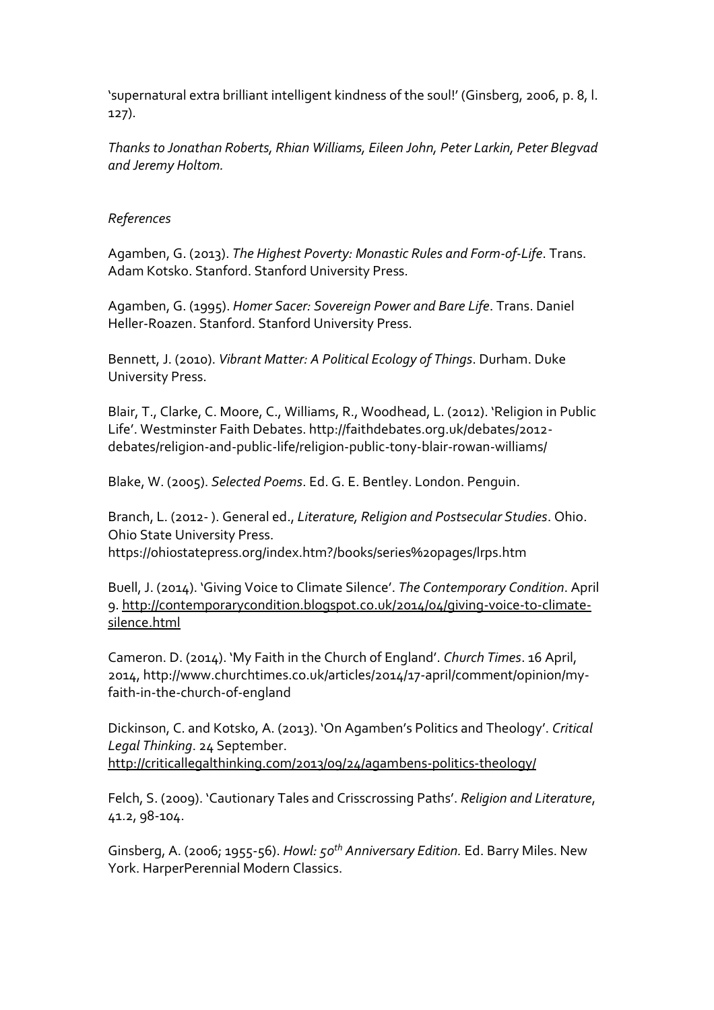'supernatural extra brilliant intelligent kindness of the soul!' (Ginsberg, 2006, p. 8, l. 127).

*Thanks to Jonathan Roberts, Rhian Williams, Eileen John, Peter Larkin, Peter Blegvad and Jeremy Holtom.*

# *References*

Agamben, G. (2013). *The Highest Poverty: Monastic Rules and Form-of-Life*. Trans. Adam Kotsko. Stanford. Stanford University Press.

Agamben, G. (1995). *Homer Sacer: Sovereign Power and Bare Life*. Trans. Daniel Heller-Roazen. Stanford. Stanford University Press.

Bennett, J. (2010). *Vibrant Matter: A Political Ecology of Things*. Durham. Duke University Press.

Blair, T., Clarke, C. Moore, C., Williams, R., Woodhead, L. (2012). 'Religion in Public Life'. Westminster Faith Debates. http://faithdebates.org.uk/debates/2012 debates/religion-and-public-life/religion-public-tony-blair-rowan-williams/

Blake, W. (2005). *Selected Poems*. Ed. G. E. Bentley. London. Penguin.

Branch, L. (2012- ). General ed., *Literature, Religion and Postsecular Studies*. Ohio. Ohio State University Press. https://ohiostatepress.org/index.htm?/books/series%20pages/lrps.htm

Buell, J. (2014). 'Giving Voice to Climate Silence'. *The Contemporary Condition*. April 9. [http://contemporarycondition.blogspot.co.uk/2014/04/giving-voice-to-climate](http://contemporarycondition.blogspot.co.uk/2014/04/giving-voice-to-climate-silence.html)[silence.html](http://contemporarycondition.blogspot.co.uk/2014/04/giving-voice-to-climate-silence.html)

Cameron. D. (2014). 'My Faith in the Church of England'. *Church Times*. 16 April, 2014, http://www.churchtimes.co.uk/articles/2014/17-april/comment/opinion/myfaith-in-the-church-of-england

Dickinson, C. and Kotsko, A. (2013). 'On Agamben's Politics and Theology'. *Critical Legal Thinking*. 24 September. <http://criticallegalthinking.com/2013/09/24/agambens-politics-theology/>

Felch, S. (2009). 'Cautionary Tales and Crisscrossing Paths'. *Religion and Literature*, 41.2, 98-104.

Ginsberg, A. (2006; 1955-56). *Howl: 50th Anniversary Edition.* Ed. Barry Miles. New York. HarperPerennial Modern Classics.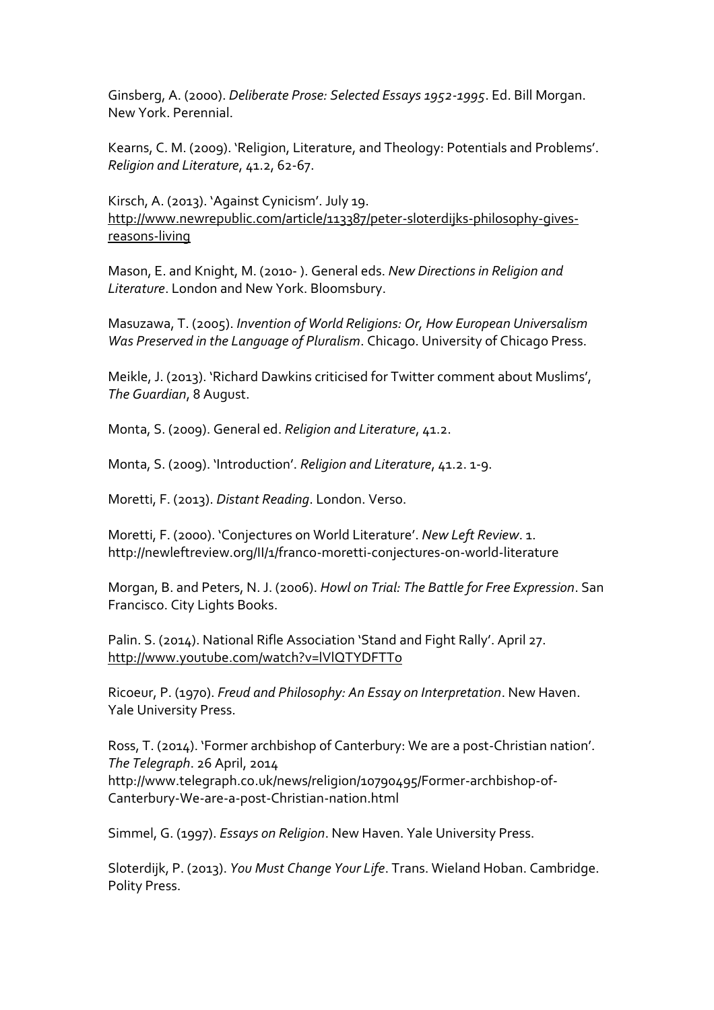Ginsberg, A. (2000). *Deliberate Prose: Selected Essays 1952-1995*. Ed. Bill Morgan. New York. Perennial.

Kearns, C. M. (2009). 'Religion, Literature, and Theology: Potentials and Problems'. *Religion and Literature*, 41.2, 62-67.

Kirsch, A. (2013). 'Against Cynicism'. July 19. [http://www.newrepublic.com/article/113387/peter-sloterdijks-philosophy-gives](http://www.newrepublic.com/article/113387/peter-sloterdijks-philosophy-gives-reasons-living)[reasons-living](http://www.newrepublic.com/article/113387/peter-sloterdijks-philosophy-gives-reasons-living)

Mason, E. and Knight, M. (2010- ). General eds. *New Directions in Religion and Literature*. London and New York. Bloomsbury.

Masuzawa, T. (2005). *Invention of World Religions: Or, How European Universalism Was Preserved in the Language of Pluralism*. Chicago. University of Chicago Press.

Meikle, J. (2013). 'Richard Dawkins criticised for Twitter comment about Muslims', *The Guardian*, 8 August.

Monta, S. (2009). General ed. *Religion and Literature*, 41.2.

Monta, S. (2009). 'Introduction'. *Religion and Literature*, 41.2. 1-9.

Moretti, F. (2013). *Distant Reading*. London. Verso.

Moretti, F. (2000). 'Conjectures on World Literature'. *New Left Review*. 1. http://newleftreview.org/II/1/franco-moretti-conjectures-on-world-literature

Morgan, B. and Peters, N. J. (2006). *Howl on Trial: The Battle for Free Expression*. San Francisco. City Lights Books.

Palin. S. (2014). National Rifle Association 'Stand and Fight Rally'. April 27. <http://www.youtube.com/watch?v=lVlQTYDFTTo>

Ricoeur, P. (1970). *Freud and Philosophy: An Essay on Interpretation*. New Haven. Yale University Press.

Ross, T. (2014). 'Former archbishop of Canterbury: We are a post-Christian nation'. *The Telegraph*. 26 April, 2014 http://www.telegraph.co.uk/news/religion/10790495/Former-archbishop-of-Canterbury-We-are-a-post-Christian-nation.html

Simmel, G. (1997). *Essays on Religion*. New Haven. Yale University Press.

Sloterdijk, P. (2013). *You Must Change Your Life*. Trans. Wieland Hoban. Cambridge. Polity Press.